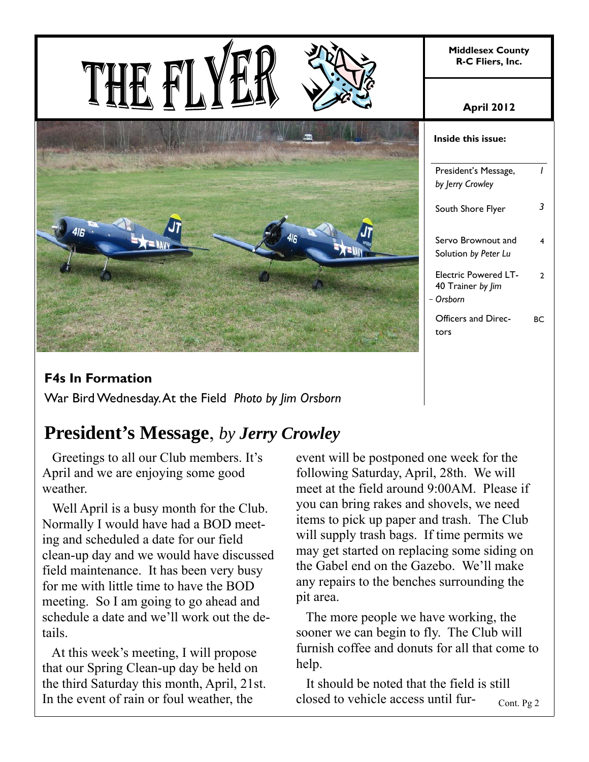**Middlesex County R-C Fliers, Inc.** 





#### **April 2012**

| Inside this issue:                                            |    |  |
|---------------------------------------------------------------|----|--|
| President's Message,<br>by Jerry Crowley                      | ı  |  |
| South Shore Flyer                                             |    |  |
| Servo Brownout and<br>Solution by Peter Lu                    | 4  |  |
| <b>Electric Powered LT-</b><br>40 Trainer by Jim<br>– Orsborn | າ  |  |
| Officers and Direc-<br>tors                                   | BС |  |

#### **F4s In Formation**

War Bird Wednesday. At the Field *Photo by Jim Orsborn*

### **President's Message**, *by Jerry Crowley*

 Greetings to all our Club members. It's April and we are enjoying some good weather.

 Well April is a busy month for the Club. Normally I would have had a BOD meeting and scheduled a date for our field clean-up day and we would have discussed field maintenance. It has been very busy for me with little time to have the BOD meeting. So I am going to go ahead and schedule a date and we'll work out the details.

 At this week's meeting, I will propose that our Spring Clean-up day be held on the third Saturday this month, April, 21st. In the event of rain or foul weather, the

event will be postponed one week for the following Saturday, April, 28th. We will meet at the field around 9:00AM. Please if you can bring rakes and shovels, we need items to pick up paper and trash. The Club will supply trash bags. If time permits we may get started on replacing some siding on the Gabel end on the Gazebo. We'll make any repairs to the benches surrounding the pit area.

 The more people we have working, the sooner we can begin to fly. The Club will furnish coffee and donuts for all that come to help.

 It should be noted that the field is still closed to vehicle access until fur-Cont. Pg 2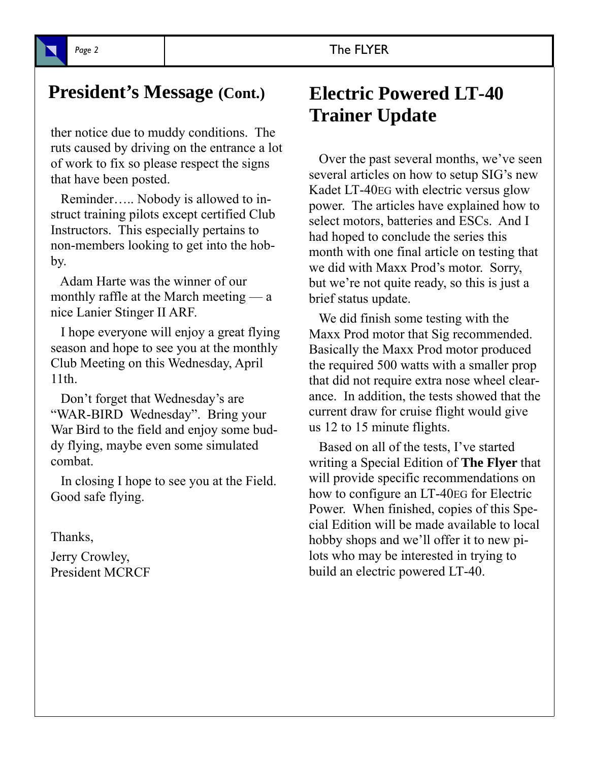### **President's Message (Cont.) Electric Powered LT-40**

ther notice due to muddy conditions. The ruts caused by driving on the entrance a lot of work to fix so please respect the signs that have been posted.

 Reminder….. Nobody is allowed to instruct training pilots except certified Club Instructors. This especially pertains to non-members looking to get into the hobby.

 Adam Harte was the winner of our monthly raffle at the March meeting — a nice Lanier Stinger II ARF.

 I hope everyone will enjoy a great flying season and hope to see you at the monthly Club Meeting on this Wednesday, April 11th.

 Don't forget that Wednesday's are "WAR-BIRD Wednesday". Bring your War Bird to the field and enjoy some buddy flying, maybe even some simulated combat.

 In closing I hope to see you at the Field. Good safe flying.

Thanks,

Jerry Crowley, President MCRCF

# **Trainer Update**

 Over the past several months, we've seen several articles on how to setup SIG's new Kadet LT-40EG with electric versus glow power. The articles have explained how to select motors, batteries and ESCs. And I had hoped to conclude the series this month with one final article on testing that we did with Maxx Prod's motor. Sorry, but we're not quite ready, so this is just a brief status update.

 We did finish some testing with the Maxx Prod motor that Sig recommended. Basically the Maxx Prod motor produced the required 500 watts with a smaller prop that did not require extra nose wheel clearance. In addition, the tests showed that the current draw for cruise flight would give us 12 to 15 minute flights.

 Based on all of the tests, I've started writing a Special Edition of **The Flyer** that will provide specific recommendations on how to configure an LT-40EG for Electric Power. When finished, copies of this Special Edition will be made available to local hobby shops and we'll offer it to new pilots who may be interested in trying to build an electric powered LT-40.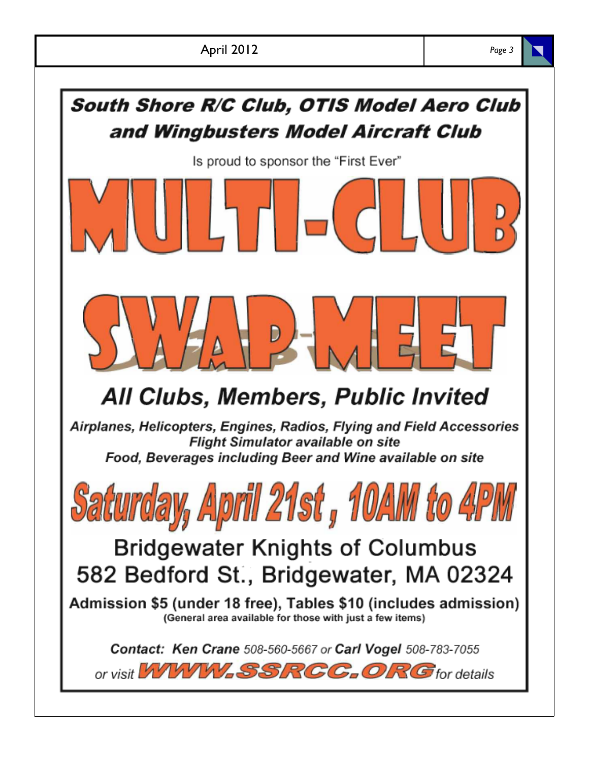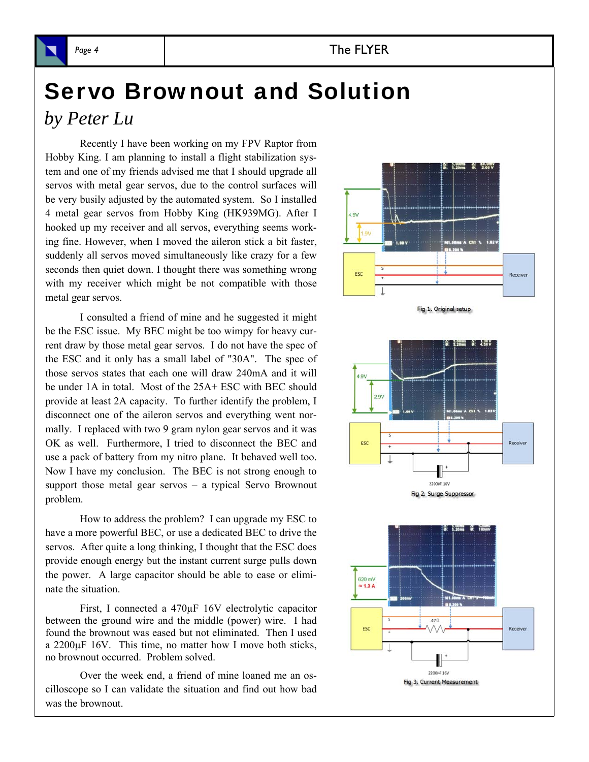# Servo Brownout and Solution

*by Peter Lu*

Recently I have been working on my FPV Raptor from Hobby King. I am planning to install a flight stabilization system and one of my friends advised me that I should upgrade all servos with metal gear servos, due to the control surfaces will be very busily adjusted by the automated system. So I installed 4 metal gear servos from Hobby King (HK939MG). After I hooked up my receiver and all servos, everything seems working fine. However, when I moved the aileron stick a bit faster, suddenly all servos moved simultaneously like crazy for a few seconds then quiet down. I thought there was something wrong with my receiver which might be not compatible with those metal gear servos.

I consulted a friend of mine and he suggested it might be the ESC issue. My BEC might be too wimpy for heavy current draw by those metal gear servos. I do not have the spec of the ESC and it only has a small label of "30A". The spec of those servos states that each one will draw 240mA and it will be under 1A in total. Most of the 25A+ ESC with BEC should provide at least 2A capacity. To further identify the problem, I disconnect one of the aileron servos and everything went normally. I replaced with two 9 gram nylon gear servos and it was OK as well. Furthermore, I tried to disconnect the BEC and use a pack of battery from my nitro plane. It behaved well too. Now I have my conclusion. The BEC is not strong enough to support those metal gear servos – a typical Servo Brownout problem.

How to address the problem? I can upgrade my ESC to have a more powerful BEC, or use a dedicated BEC to drive the servos. After quite a long thinking, I thought that the ESC does provide enough energy but the instant current surge pulls down the power. A large capacitor should be able to ease or eliminate the situation.

First, I connected a 470µF 16V electrolytic capacitor between the ground wire and the middle (power) wire. I had found the brownout was eased but not eliminated. Then I used a 2200µF 16V. This time, no matter how I move both sticks, no brownout occurred. Problem solved.

Over the week end, a friend of mine loaned me an oscilloscope so I can validate the situation and find out how bad was the brownout.

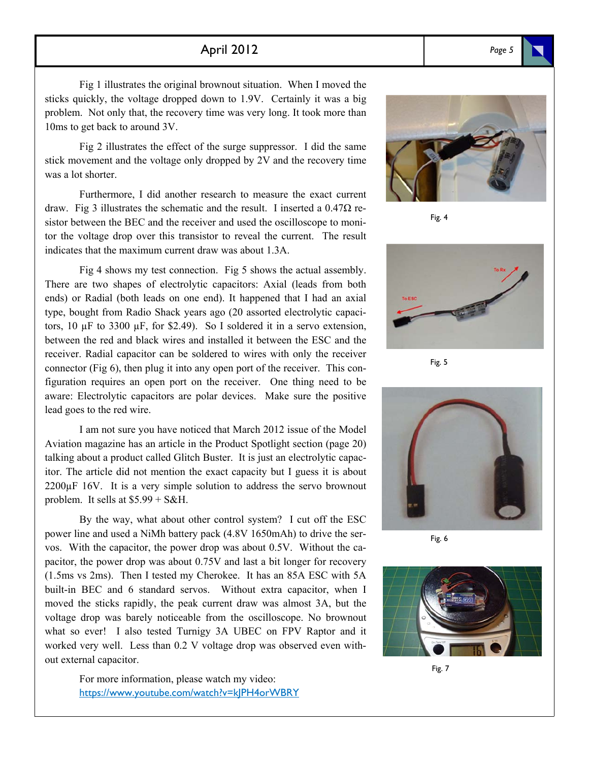#### April 2012 *Page 5*

Fig 1 illustrates the original brownout situation. When I moved the sticks quickly, the voltage dropped down to 1.9V. Certainly it was a big problem. Not only that, the recovery time was very long. It took more than 10ms to get back to around 3V.

Fig 2 illustrates the effect of the surge suppressor. I did the same stick movement and the voltage only dropped by 2V and the recovery time was a lot shorter.

Furthermore, I did another research to measure the exact current draw. Fig 3 illustrates the schematic and the result. I inserted a  $0.47\Omega$  resistor between the BEC and the receiver and used the oscilloscope to monitor the voltage drop over this transistor to reveal the current. The result indicates that the maximum current draw was about 1.3A.

Fig 4 shows my test connection. Fig 5 shows the actual assembly. There are two shapes of electrolytic capacitors: Axial (leads from both ends) or Radial (both leads on one end). It happened that I had an axial type, bought from Radio Shack years ago (20 assorted electrolytic capacitors,  $10 \mu$ F to 3300  $\mu$ F, for \$2.49). So I soldered it in a servo extension, between the red and black wires and installed it between the ESC and the receiver. Radial capacitor can be soldered to wires with only the receiver connector (Fig 6), then plug it into any open port of the receiver. This configuration requires an open port on the receiver. One thing need to be aware: Electrolytic capacitors are polar devices. Make sure the positive lead goes to the red wire.

I am not sure you have noticed that March 2012 issue of the Model Aviation magazine has an article in the Product Spotlight section (page 20) talking about a product called Glitch Buster. It is just an electrolytic capacitor. The article did not mention the exact capacity but I guess it is about 2200µF 16V. It is a very simple solution to address the servo brownout problem. It sells at  $$5.99 + S\&H$ .

By the way, what about other control system? I cut off the ESC power line and used a NiMh battery pack (4.8V 1650mAh) to drive the servos. With the capacitor, the power drop was about 0.5V. Without the capacitor, the power drop was about 0.75V and last a bit longer for recovery (1.5ms vs 2ms). Then I tested my Cherokee. It has an 85A ESC with 5A built-in BEC and 6 standard servos. Without extra capacitor, when I moved the sticks rapidly, the peak current draw was almost 3A, but the voltage drop was barely noticeable from the oscilloscope. No brownout what so ever! I also tested Turnigy 3A UBEC on FPV Raptor and it worked very well. Less than 0.2 V voltage drop was observed even without external capacitor.

> For more information, please watch my video: https://www.youtube.com/watch?v=kJPH4orWBRY



Fig. 4



Fig. 5



Fig. 6



Fig. 7